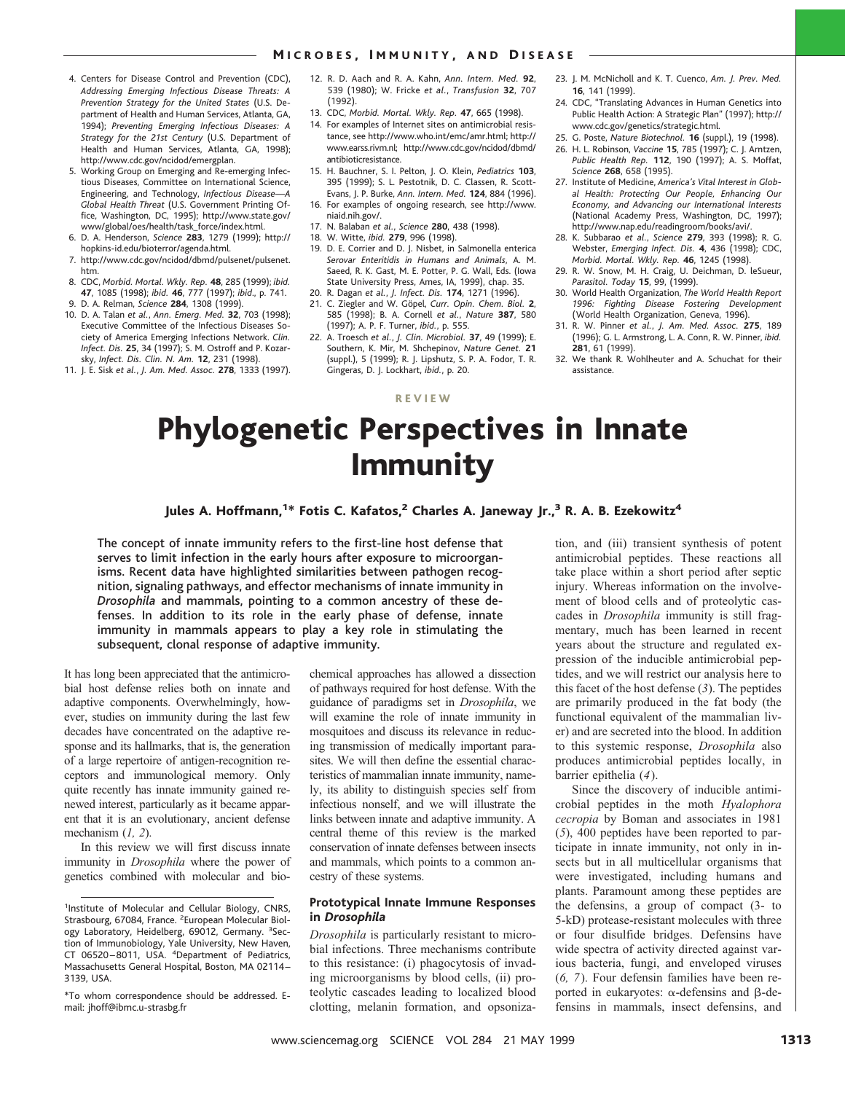#### MICROBES, IMMUNITY, AND DISEASE

- 4. Centers for Disease Control and Prevention (CDC), *Addressing Emerging Infectious Disease Threats: A Prevention Strategy for the United States* (U.S. Department of Health and Human Services, Atlanta, GA, 1994); *Preventing Emerging Infectious Diseases: A Strategy for the 21st Century* (U.S. Department of Health and Human Services, Atlanta, GA, 1998); http://www.cdc.gov/ncidod/emergplan.
- 5. Working Group on Emerging and Re-emerging Infectious Diseases, Committee on International Science, Engineering, and Technology, *Infectious Disease—A Global Health Threat* (U.S. Government Printing Office, Washington, DC, 1995); http://www.state.gov/ www/global/oes/health/task\_force/index.html.
- 6. D. A. Henderson, *Science* **283**, 1279 (1999); http:// hopkins-id.edu/bioterror/agenda.html.
- 7. http://www.cdc.gov/ncidod/dbmd/pulsenet/pulsenet. htm.
- 8. CDC, *Morbid. Mortal. Wkly. Rep.* **48**, 285 (1999); *ibid.* **47**, 1085 (1998); *ibid.* **46**, 777 (1997); *ibid*., p. 741. 9. D. A. Relman, *Science* **284**, 1308 (1999).
- 10. D. A. Talan *et al.*, *Ann. Emerg. Med.* **32**, 703 (1998); Executive Committee of the Infectious Diseases Society of America Emerging Infections Network. *Clin. Infect. Dis.* **25**, 34 (1997); S. M. Ostroff and P. Kozarsky, *Infect. Dis. Clin. N. Am.* **12**, 231 (1998).
- 11. J. E. Sisk *et al.*, *J. Am. Med. Assoc.* **278**, 1333 (1997).
- 12. R. D. Aach and R. A. Kahn, *Ann. Intern. Med.* **92**, 539 (1980); W. Fricke *et al.*, *Transfusion* **32**, 707 (1992).
- 13. CDC, *Morbid. Mortal. Wkly. Rep.* **47**, 665 (1998).
- 14. For examples of Internet sites on antimicrobial resistance, see http://www.who.int/emc/amr.html; http:// www.earss.rivm.nl; http://www.cdc.gov/ncidod/dbmd/ antibioticresistance.
- 15. H. Bauchner, S. I. Pelton, J. O. Klein, *Pediatrics* **103**, 395 (1999); S. L. Pestotnik, D. C. Classen, R. Scott-Evans, J. P. Burke, *Ann. Intern. Med.* **124**, 884 (1996).
- 16. For examples of ongoing research, see http://www. niaid.nih.gov/. 17. N. Balaban *et al.*, *Science* **280**, 438 (1998).
- 18. W. Witte, *ibid.* **279**, 996 (1998).
- 
- 19. D. E. Corrier and D. J. Nisbet, in Salmonella enterica *Serovar Enteritidis in Humans and Animals*, A. M. Saeed, R. K. Gast, M. E. Potter, P. G. Wall, Eds. (Iowa State University Press, Ames, IA, 1999), chap. 35.
- 20. R. Dagan *et al.*, *J. Infect. Dis.* **174**, 1271 (1996). 21. C. Ziegler and W. Göpel, *Curr. Opin. Chem. Biol.* 2,
- 585 (1998); B. A. Cornell *et al.*, *Nature* **387**, 580 (1997); A. P. F. Turner, *ibid.*, p. 555.
- 22. A. Troesch *et al.*, *J. Clin. Microbiol.* **37**, 49 (1999); E. Southern, K. Mir, M. Shchepinov, *Nature Genet.* **21** (suppl.), 5 (1999); R. J. Lipshutz, S. P. A. Fodor, T. R. Gingeras, D. J. Lockhart, *ibid.*, p. 20.

# REVIEW

- 23. J. M. McNicholl and K. T. Cuenco, *Am. J. Prev. Med.* **16**, 141 (1999).
- 24. CDC, "Translating Advances in Human Genetics into Public Health Action: A Strategic Plan" (1997); http:// www.cdc.gov/genetics/strategic.html.
- 25. G. Poste, *Nature Biotechnol.* **16** (suppl.), 19 (1998).
- 26. H. L. Robinson, *Vaccine* **15**, 785 (1997); C. J. Arntzen, *Public Health Rep.* **112**, 190 (1997); A. S. Moffat, *Science* **268**, 658 (1995).
- 27. Institute of Medicine, *America's Vital Interest in Global Health: Protecting Our People, Enhancing Our Economy, and Advancing our International Interests* (National Academy Press, Washington, DC, 1997); http://www.nap.edu/readingroom/books/avi/.
- 28. K. Subbarao *et al.*, *Science* **279**, 393 (1998); R. G. Webster, *Emerging Infect. Dis.* **4**, 436 (1998); CDC, *Morbid. Mortal. Wkly. Rep.* **46**, 1245 (1998).
- 29. R. W. Snow, M. H. Craig, U. Deichman, D. leSueur, *Parasitol. Today* **15**, 99, (1999).
- 30. World Health Organization, *The World Health Report 1996: Fighting Disease Fostering Development* (World Health Organization, Geneva, 1996).
- 31. R. W. Pinner *et al.*, *J. Am. Med. Assoc.* **275**, 189 (1996); G. L. Armstrong, L. A. Conn, R. W. Pinner, *ibid.* **281**, 61 (1999).
- 32. We thank R. Wohlheuter and A. Schuchat for their assistance.

# Phylogenetic Perspectives in Innate Immunity

# Jules A. Hoffmann, <sup>1</sup>\* Fotis C. Kafatos, <sup>2</sup> Charles A. Janeway Jr., <sup>3</sup> R. A. B. Ezekowitz<sup>4</sup>

The concept of innate immunity refers to the first-line host defense that serves to limit infection in the early hours after exposure to microorganisms. Recent data have highlighted similarities between pathogen recognition, signaling pathways, and effector mechanisms of innate immunity in *Drosophila* and mammals, pointing to a common ancestry of these defenses. In addition to its role in the early phase of defense, innate immunity in mammals appears to play a key role in stimulating the subsequent, clonal response of adaptive immunity.

It has long been appreciated that the antimicrobial host defense relies both on innate and adaptive components. Overwhelmingly, however, studies on immunity during the last few decades have concentrated on the adaptive response and its hallmarks, that is, the generation of a large repertoire of antigen-recognition receptors and immunological memory. Only quite recently has innate immunity gained renewed interest, particularly as it became apparent that it is an evolutionary, ancient defense mechanism (*1, 2*).

In this review we will first discuss innate immunity in *Drosophila* where the power of genetics combined with molecular and bio-

\*To whom correspondence should be addressed. Email: jhoff@ibmc.u-strasbg.fr

chemical approaches has allowed a dissection of pathways required for host defense. With the guidance of paradigms set in *Drosophila*, we will examine the role of innate immunity in mosquitoes and discuss its relevance in reducing transmission of medically important parasites. We will then define the essential characteristics of mammalian innate immunity, namely, its ability to distinguish species self from infectious nonself, and we will illustrate the links between innate and adaptive immunity. A central theme of this review is the marked conservation of innate defenses between insects and mammals, which points to a common ancestry of these systems.

### **Prototypical Innate Immune Responses in** *Drosophila*

*Drosophila* is particularly resistant to microbial infections. Three mechanisms contribute to this resistance: (i) phagocytosis of invading microorganisms by blood cells, (ii) proteolytic cascades leading to localized blood clotting, melanin formation, and opsonization, and (iii) transient synthesis of potent antimicrobial peptides. These reactions all take place within a short period after septic injury. Whereas information on the involvement of blood cells and of proteolytic cascades in *Drosophila* immunity is still fragmentary, much has been learned in recent years about the structure and regulated expression of the inducible antimicrobial peptides, and we will restrict our analysis here to this facet of the host defense (*3*). The peptides are primarily produced in the fat body (the functional equivalent of the mammalian liver) and are secreted into the blood. In addition to this systemic response, *Drosophila* also produces antimicrobial peptides locally, in barrier epithelia (*4*).

Since the discovery of inducible antimicrobial peptides in the moth *Hyalophora cecropia* by Boman and associates in 1981 (*5*), 400 peptides have been reported to participate in innate immunity, not only in insects but in all multicellular organisms that were investigated, including humans and plants. Paramount among these peptides are the defensins, a group of compact (3- to 5-kD) protease-resistant molecules with three or four disulfide bridges. Defensins have wide spectra of activity directed against various bacteria, fungi, and enveloped viruses (*6, 7*). Four defensin families have been reported in eukaryotes:  $\alpha$ -defensins and  $\beta$ -defensins in mammals, insect defensins, and

<sup>1</sup>Institute of Molecular and Cellular Biology, CNRS, Strasbourg, 67084, France. <sup>2</sup>European Molecular Biology Laboratory, Heidelberg, 69012, Germany. <sup>3</sup>Section of Immunobiology, Yale University, New Haven, CT 06520-8011, USA. <sup>4</sup>Department of Pediatrics, Massachusetts General Hospital, Boston, MA 02114 – 3139, USA.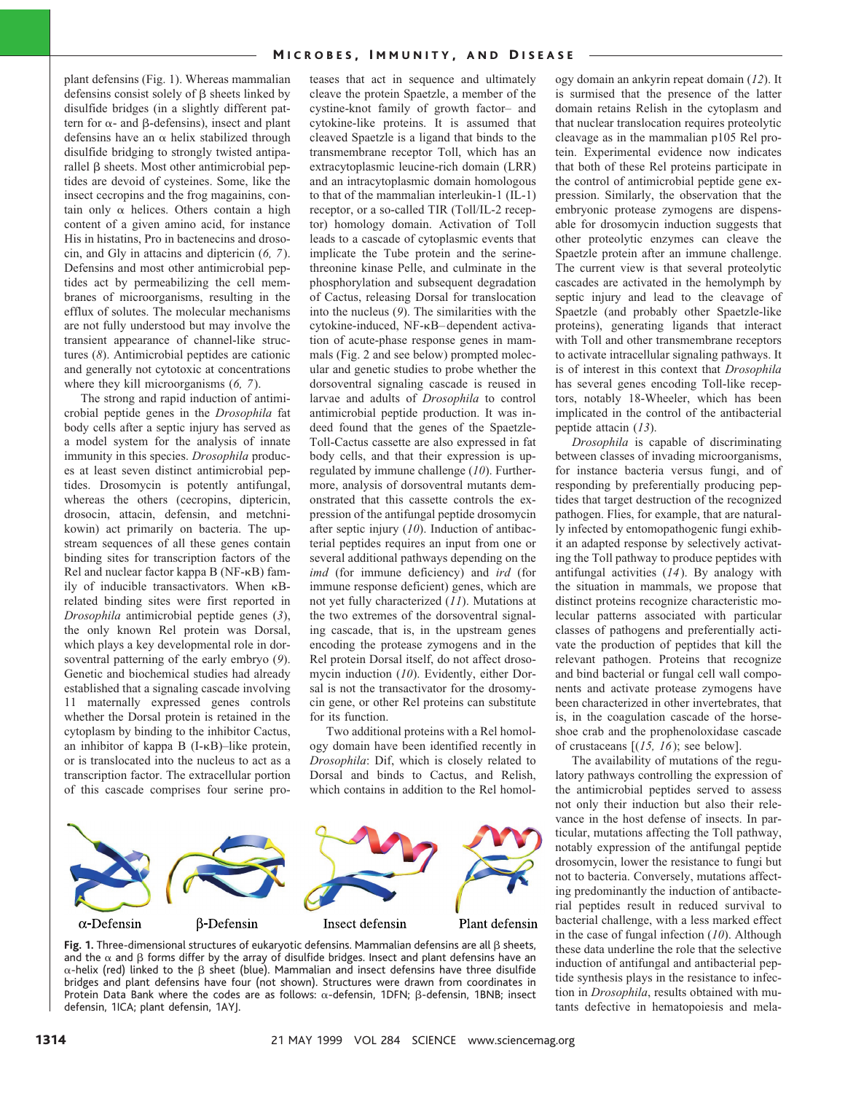plant defensins (Fig. 1). Whereas mammalian defensins consist solely of  $\beta$  sheets linked by disulfide bridges (in a slightly different pattern for  $\alpha$ - and  $\beta$ -defensins), insect and plant defensins have an  $\alpha$  helix stabilized through disulfide bridging to strongly twisted antiparallel  $\beta$  sheets. Most other antimicrobial peptides are devoid of cysteines. Some, like the insect cecropins and the frog magainins, contain only  $\alpha$  helices. Others contain a high content of a given amino acid, for instance His in histatins, Pro in bactenecins and drosocin, and Gly in attacins and diptericin (*6, 7*). Defensins and most other antimicrobial peptides act by permeabilizing the cell membranes of microorganisms, resulting in the efflux of solutes. The molecular mechanisms are not fully understood but may involve the transient appearance of channel-like structures (*8*). Antimicrobial peptides are cationic and generally not cytotoxic at concentrations where they kill microorganisms (*6, 7*).

The strong and rapid induction of antimicrobial peptide genes in the *Drosophila* fat body cells after a septic injury has served as a model system for the analysis of innate immunity in this species. *Drosophila* produces at least seven distinct antimicrobial peptides. Drosomycin is potently antifungal, whereas the others (cecropins, diptericin, drosocin, attacin, defensin, and metchnikowin) act primarily on bacteria. The upstream sequences of all these genes contain binding sites for transcription factors of the Rel and nuclear factor kappa B (NF-kB) family of inducible transactivators. When kBrelated binding sites were first reported in *Drosophila* antimicrobial peptide genes (*3*), the only known Rel protein was Dorsal, which plays a key developmental role in dorsoventral patterning of the early embryo (*9*). Genetic and biochemical studies had already established that a signaling cascade involving 11 maternally expressed genes controls whether the Dorsal protein is retained in the cytoplasm by binding to the inhibitor Cactus, an inhibitor of kappa B  $(I-\kappa B)$ –like protein, or is translocated into the nucleus to act as a transcription factor. The extracellular portion of this cascade comprises four serine proteases that act in sequence and ultimately cleave the protein Spaetzle, a member of the cystine-knot family of growth factor– and cytokine-like proteins. It is assumed that cleaved Spaetzle is a ligand that binds to the transmembrane receptor Toll, which has an extracytoplasmic leucine-rich domain (LRR) and an intracytoplasmic domain homologous to that of the mammalian interleukin-1 (IL-1) receptor, or a so-called TIR (Toll/IL-2 receptor) homology domain. Activation of Toll leads to a cascade of cytoplasmic events that implicate the Tube protein and the serinethreonine kinase Pelle, and culminate in the phosphorylation and subsequent degradation of Cactus, releasing Dorsal for translocation into the nucleus (*9*). The similarities with the cytokine-induced, NF-kB–dependent activation of acute-phase response genes in mammals (Fig. 2 and see below) prompted molecular and genetic studies to probe whether the dorsoventral signaling cascade is reused in larvae and adults of *Drosophila* to control antimicrobial peptide production. It was indeed found that the genes of the Spaetzle-Toll-Cactus cassette are also expressed in fat body cells, and that their expression is upregulated by immune challenge (*10*). Furthermore, analysis of dorsoventral mutants demonstrated that this cassette controls the expression of the antifungal peptide drosomycin after septic injury (*10*). Induction of antibacterial peptides requires an input from one or several additional pathways depending on the *imd* (for immune deficiency) and *ird* (for immune response deficient) genes, which are not yet fully characterized (*11*). Mutations at the two extremes of the dorsoventral signaling cascade, that is, in the upstream genes encoding the protease zymogens and in the Rel protein Dorsal itself, do not affect drosomycin induction (*10*). Evidently, either Dorsal is not the transactivator for the drosomycin gene, or other Rel proteins can substitute for its function.

Two additional proteins with a Rel homology domain have been identified recently in *Drosophila*: Dif, which is closely related to Dorsal and binds to Cactus, and Relish, which contains in addition to the Rel homol-



Fig. 1. Three-dimensional structures of eukaryotic defensins. Mammalian defensins are all  $\beta$  sheets, and the  $\alpha$  and  $\beta$  forms differ by the array of disulfide bridges. Insect and plant defensins have an  $\alpha$ -helix (red) linked to the  $\beta$  sheet (blue). Mammalian and insect defensins have three disulfide bridges and plant defensins have four (not shown). Structures were drawn from coordinates in Protein Data Bank where the codes are as follows:  $\alpha$ -defensin, 1DFN;  $\beta$ -defensin, 1BNB; insect defensin, 1ICA; plant defensin, 1AYJ.

ogy domain an ankyrin repeat domain (*12*). It is surmised that the presence of the latter domain retains Relish in the cytoplasm and that nuclear translocation requires proteolytic cleavage as in the mammalian p105 Rel protein. Experimental evidence now indicates that both of these Rel proteins participate in the control of antimicrobial peptide gene expression. Similarly, the observation that the embryonic protease zymogens are dispensable for drosomycin induction suggests that other proteolytic enzymes can cleave the Spaetzle protein after an immune challenge. The current view is that several proteolytic cascades are activated in the hemolymph by septic injury and lead to the cleavage of Spaetzle (and probably other Spaetzle-like proteins), generating ligands that interact with Toll and other transmembrane receptors to activate intracellular signaling pathways. It is of interest in this context that *Drosophila* has several genes encoding Toll-like receptors, notably 18-Wheeler, which has been implicated in the control of the antibacterial peptide attacin (*13*).

*Drosophila* is capable of discriminating between classes of invading microorganisms, for instance bacteria versus fungi, and of responding by preferentially producing peptides that target destruction of the recognized pathogen. Flies, for example, that are naturally infected by entomopathogenic fungi exhibit an adapted response by selectively activating the Toll pathway to produce peptides with antifungal activities (*14*). By analogy with the situation in mammals, we propose that distinct proteins recognize characteristic molecular patterns associated with particular classes of pathogens and preferentially activate the production of peptides that kill the relevant pathogen. Proteins that recognize and bind bacterial or fungal cell wall components and activate protease zymogens have been characterized in other invertebrates, that is, in the coagulation cascade of the horseshoe crab and the prophenoloxidase cascade of crustaceans [(*15, 16*); see below].

The availability of mutations of the regulatory pathways controlling the expression of the antimicrobial peptides served to assess not only their induction but also their relevance in the host defense of insects. In particular, mutations affecting the Toll pathway, notably expression of the antifungal peptide drosomycin, lower the resistance to fungi but not to bacteria. Conversely, mutations affecting predominantly the induction of antibacterial peptides result in reduced survival to bacterial challenge, with a less marked effect in the case of fungal infection (*10*). Although these data underline the role that the selective induction of antifungal and antibacterial peptide synthesis plays in the resistance to infection in *Drosophila*, results obtained with mutants defective in hematopoiesis and mela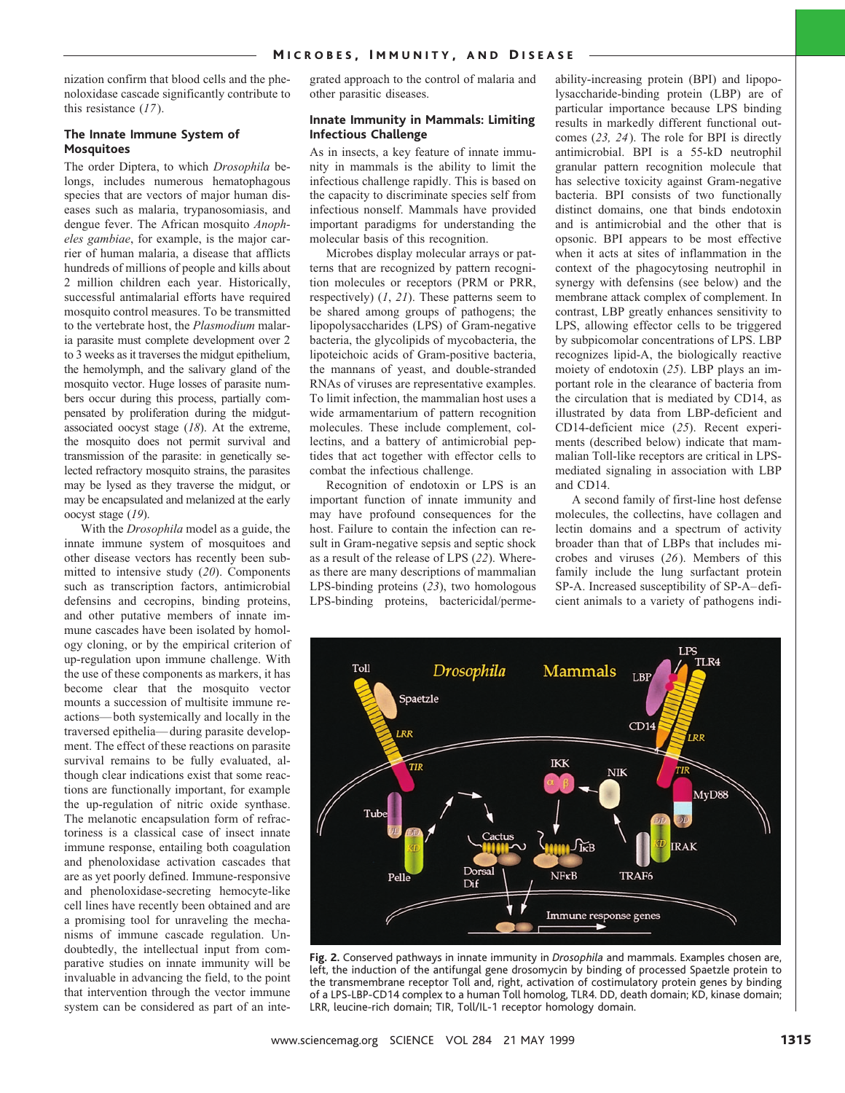nization confirm that blood cells and the phenoloxidase cascade significantly contribute to this resistance (*17*).

## **The Innate Immune System of Mosquitoes**

The order Diptera, to which *Drosophila* belongs, includes numerous hematophagous species that are vectors of major human diseases such as malaria, trypanosomiasis, and dengue fever. The African mosquito *Anopheles gambiae*, for example, is the major carrier of human malaria, a disease that afflicts hundreds of millions of people and kills about 2 million children each year. Historically, successful antimalarial efforts have required mosquito control measures. To be transmitted to the vertebrate host, the *Plasmodium* malaria parasite must complete development over 2 to 3 weeks as it traverses the midgut epithelium, the hemolymph, and the salivary gland of the mosquito vector. Huge losses of parasite numbers occur during this process, partially compensated by proliferation during the midgutassociated oocyst stage (*18*). At the extreme, the mosquito does not permit survival and transmission of the parasite: in genetically selected refractory mosquito strains, the parasites may be lysed as they traverse the midgut, or may be encapsulated and melanized at the early oocyst stage (*19*).

With the *Drosophila* model as a guide, the innate immune system of mosquitoes and other disease vectors has recently been submitted to intensive study (*20*). Components such as transcription factors, antimicrobial defensins and cecropins, binding proteins, and other putative members of innate immune cascades have been isolated by homology cloning, or by the empirical criterion of up-regulation upon immune challenge. With the use of these components as markers, it has become clear that the mosquito vector mounts a succession of multisite immune reactions—both systemically and locally in the traversed epithelia—during parasite development. The effect of these reactions on parasite survival remains to be fully evaluated, although clear indications exist that some reactions are functionally important, for example the up-regulation of nitric oxide synthase. The melanotic encapsulation form of refractoriness is a classical case of insect innate immune response, entailing both coagulation and phenoloxidase activation cascades that are as yet poorly defined. Immune-responsive and phenoloxidase-secreting hemocyte-like cell lines have recently been obtained and are a promising tool for unraveling the mechanisms of immune cascade regulation. Undoubtedly, the intellectual input from comparative studies on innate immunity will be invaluable in advancing the field, to the point that intervention through the vector immune system can be considered as part of an integrated approach to the control of malaria and other parasitic diseases.

## **Innate Immunity in Mammals: Limiting Infectious Challenge**

As in insects, a key feature of innate immunity in mammals is the ability to limit the infectious challenge rapidly. This is based on the capacity to discriminate species self from infectious nonself. Mammals have provided important paradigms for understanding the molecular basis of this recognition.

Microbes display molecular arrays or patterns that are recognized by pattern recognition molecules or receptors (PRM or PRR, respectively) (*1*, *21*). These patterns seem to be shared among groups of pathogens; the lipopolysaccharides (LPS) of Gram-negative bacteria, the glycolipids of mycobacteria, the lipoteichoic acids of Gram-positive bacteria, the mannans of yeast, and double-stranded RNAs of viruses are representative examples. To limit infection, the mammalian host uses a wide armamentarium of pattern recognition molecules. These include complement, collectins, and a battery of antimicrobial peptides that act together with effector cells to combat the infectious challenge.

Recognition of endotoxin or LPS is an important function of innate immunity and may have profound consequences for the host. Failure to contain the infection can result in Gram-negative sepsis and septic shock as a result of the release of LPS (*22*). Whereas there are many descriptions of mammalian LPS-binding proteins (*23*), two homologous LPS-binding proteins, bactericidal/permeability-increasing protein (BPI) and lipopolysaccharide-binding protein (LBP) are of particular importance because LPS binding results in markedly different functional outcomes (*23, 24*). The role for BPI is directly antimicrobial. BPI is a 55-kD neutrophil granular pattern recognition molecule that has selective toxicity against Gram-negative bacteria. BPI consists of two functionally distinct domains, one that binds endotoxin and is antimicrobial and the other that is opsonic. BPI appears to be most effective when it acts at sites of inflammation in the context of the phagocytosing neutrophil in synergy with defensins (see below) and the membrane attack complex of complement. In contrast, LBP greatly enhances sensitivity to LPS, allowing effector cells to be triggered by subpicomolar concentrations of LPS. LBP recognizes lipid-A, the biologically reactive moiety of endotoxin (*25*). LBP plays an important role in the clearance of bacteria from the circulation that is mediated by CD14, as illustrated by data from LBP-deficient and CD14-deficient mice (*25*). Recent experiments (described below) indicate that mammalian Toll-like receptors are critical in LPSmediated signaling in association with LBP and CD14.

A second family of first-line host defense molecules, the collectins, have collagen and lectin domains and a spectrum of activity broader than that of LBPs that includes microbes and viruses (*26*). Members of this family include the lung surfactant protein SP-A. Increased susceptibility of SP-A–deficient animals to a variety of pathogens indi-



**Fig. 2.** Conserved pathways in innate immunity in *Drosophila* and mammals. Examples chosen are, left, the induction of the antifungal gene drosomycin by binding of processed Spaetzle protein to the transmembrane receptor Toll and, right, activation of costimulatory protein genes by binding of a LPS-LBP-CD14 complex to a human Toll homolog, TLR4. DD, death domain; KD, kinase domain; LRR, leucine-rich domain; TIR, Toll/IL-1 receptor homology domain.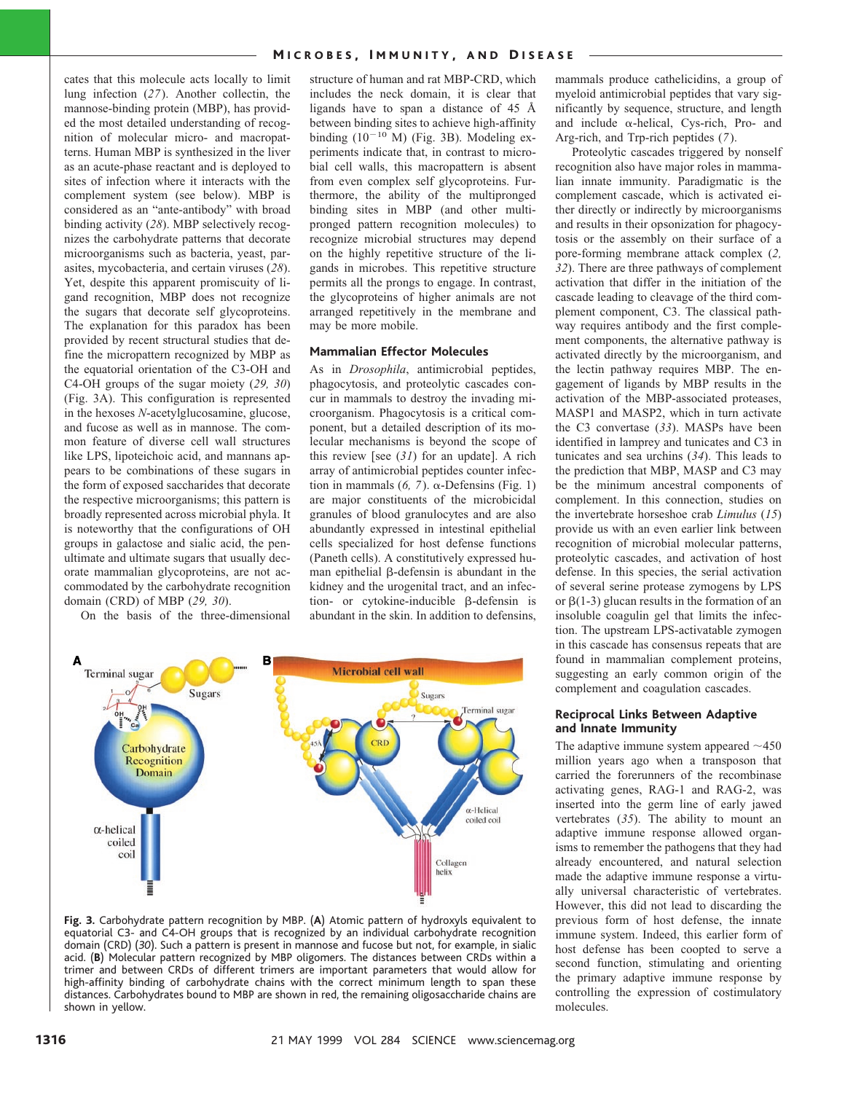### MICROBES, IMMUNITY, AND DISEASE

cates that this molecule acts locally to limit lung infection (*27*). Another collectin, the mannose-binding protein (MBP), has provided the most detailed understanding of recognition of molecular micro- and macropatterns. Human MBP is synthesized in the liver as an acute-phase reactant and is deployed to sites of infection where it interacts with the complement system (see below). MBP is considered as an "ante-antibody" with broad binding activity (*28*). MBP selectively recognizes the carbohydrate patterns that decorate microorganisms such as bacteria, yeast, parasites, mycobacteria, and certain viruses (*28*). Yet, despite this apparent promiscuity of ligand recognition, MBP does not recognize the sugars that decorate self glycoproteins. The explanation for this paradox has been provided by recent structural studies that define the micropattern recognized by MBP as the equatorial orientation of the C3-OH and C4-OH groups of the sugar moiety (*29, 30*) (Fig. 3A). This configuration is represented in the hexoses *N*-acetylglucosamine, glucose, and fucose as well as in mannose. The common feature of diverse cell wall structures like LPS, lipoteichoic acid, and mannans appears to be combinations of these sugars in the form of exposed saccharides that decorate the respective microorganisms; this pattern is broadly represented across microbial phyla. It is noteworthy that the configurations of OH groups in galactose and sialic acid, the penultimate and ultimate sugars that usually decorate mammalian glycoproteins, are not accommodated by the carbohydrate recognition domain (CRD) of MBP (*29, 30*).

On the basis of the three-dimensional

structure of human and rat MBP-CRD, which includes the neck domain, it is clear that ligands have to span a distance of 45 Å between binding sites to achieve high-affinity binding  $(10^{-10}$  M) (Fig. 3B). Modeling experiments indicate that, in contrast to microbial cell walls, this macropattern is absent from even complex self glycoproteins. Furthermore, the ability of the multipronged binding sites in MBP (and other multipronged pattern recognition molecules) to recognize microbial structures may depend on the highly repetitive structure of the ligands in microbes. This repetitive structure permits all the prongs to engage. In contrast, the glycoproteins of higher animals are not arranged repetitively in the membrane and may be more mobile.

#### **Mammalian Effector Molecules**

As in *Drosophila*, antimicrobial peptides, phagocytosis, and proteolytic cascades concur in mammals to destroy the invading microorganism. Phagocytosis is a critical component, but a detailed description of its molecular mechanisms is beyond the scope of this review [see (*31*) for an update]. A rich array of antimicrobial peptides counter infection in mammals  $(6, 7)$ .  $\alpha$ -Defensins (Fig. 1) are major constituents of the microbicidal granules of blood granulocytes and are also abundantly expressed in intestinal epithelial cells specialized for host defense functions (Paneth cells). A constitutively expressed human epithelial  $\beta$ -defensin is abundant in the kidney and the urogenital tract, and an infection- or cytokine-inducible  $\beta$ -defensin is abundant in the skin. In addition to defensins,



**Fig. 3.** Carbohydrate pattern recognition by MBP. (**A**) Atomic pattern of hydroxyls equivalent to equatorial C3- and C4-OH groups that is recognized by an individual carbohydrate recognition domain (CRD) (*30*). Such a pattern is present in mannose and fucose but not, for example, in sialic acid. (**B**) Molecular pattern recognized by MBP oligomers. The distances between CRDs within a trimer and between CRDs of different trimers are important parameters that would allow for high-affinity binding of carbohydrate chains with the correct minimum length to span these distances. Carbohydrates bound to MBP are shown in red, the remaining oligosaccharide chains are shown in yellow.

mammals produce cathelicidins, a group of myeloid antimicrobial peptides that vary significantly by sequence, structure, and length and include  $\alpha$ -helical, Cys-rich, Pro- and Arg-rich, and Trp-rich peptides (*7*).

Proteolytic cascades triggered by nonself recognition also have major roles in mammalian innate immunity. Paradigmatic is the complement cascade, which is activated either directly or indirectly by microorganisms and results in their opsonization for phagocytosis or the assembly on their surface of a pore-forming membrane attack complex (*2, 32*). There are three pathways of complement activation that differ in the initiation of the cascade leading to cleavage of the third complement component, C3. The classical pathway requires antibody and the first complement components, the alternative pathway is activated directly by the microorganism, and the lectin pathway requires MBP. The engagement of ligands by MBP results in the activation of the MBP-associated proteases, MASP1 and MASP2, which in turn activate the C3 convertase (*33*). MASPs have been identified in lamprey and tunicates and C3 in tunicates and sea urchins (*34*). This leads to the prediction that MBP, MASP and C3 may be the minimum ancestral components of complement. In this connection, studies on the invertebrate horseshoe crab *Limulus* (*15*) provide us with an even earlier link between recognition of microbial molecular patterns, proteolytic cascades, and activation of host defense. In this species, the serial activation of several serine protease zymogens by LPS or  $\beta(1-3)$  glucan results in the formation of an insoluble coagulin gel that limits the infection. The upstream LPS-activatable zymogen in this cascade has consensus repeats that are found in mammalian complement proteins, suggesting an early common origin of the complement and coagulation cascades.

## **Reciprocal Links Between Adaptive and Innate Immunity**

The adaptive immune system appeared  $\sim$ 450 million years ago when a transposon that carried the forerunners of the recombinase activating genes, RAG-1 and RAG-2, was inserted into the germ line of early jawed vertebrates (*35*). The ability to mount an adaptive immune response allowed organisms to remember the pathogens that they had already encountered, and natural selection made the adaptive immune response a virtually universal characteristic of vertebrates. However, this did not lead to discarding the previous form of host defense, the innate immune system. Indeed, this earlier form of host defense has been coopted to serve a second function, stimulating and orienting the primary adaptive immune response by controlling the expression of costimulatory molecules.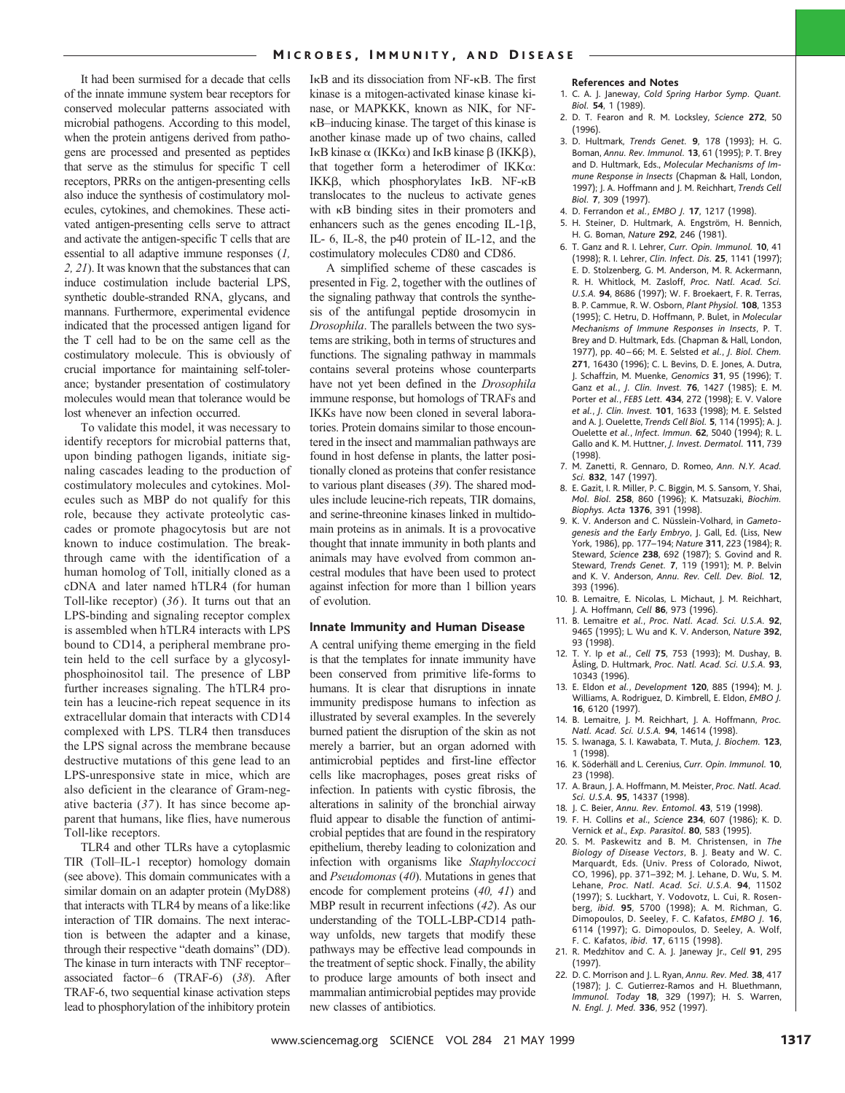#### MICROBES, IMMUNITY, AND DISEASE

It had been surmised for a decade that cells of the innate immune system bear receptors for conserved molecular patterns associated with microbial pathogens. According to this model, when the protein antigens derived from pathogens are processed and presented as peptides that serve as the stimulus for specific T cell receptors, PRRs on the antigen-presenting cells also induce the synthesis of costimulatory molecules, cytokines, and chemokines. These activated antigen-presenting cells serve to attract and activate the antigen-specific T cells that are essential to all adaptive immune responses (*1, 2, 21*). It was known that the substances that can induce costimulation include bacterial LPS, synthetic double-stranded RNA, glycans, and mannans. Furthermore, experimental evidence indicated that the processed antigen ligand for the T cell had to be on the same cell as the costimulatory molecule. This is obviously of crucial importance for maintaining self-tolerance; bystander presentation of costimulatory molecules would mean that tolerance would be lost whenever an infection occurred.

To validate this model, it was necessary to identify receptors for microbial patterns that, upon binding pathogen ligands, initiate signaling cascades leading to the production of costimulatory molecules and cytokines. Molecules such as MBP do not qualify for this role, because they activate proteolytic cascades or promote phagocytosis but are not known to induce costimulation. The breakthrough came with the identification of a human homolog of Toll, initially cloned as a cDNA and later named hTLR4 (for human Toll-like receptor) (*36*). It turns out that an LPS-binding and signaling receptor complex is assembled when hTLR4 interacts with LPS bound to CD14, a peripheral membrane protein held to the cell surface by a glycosylphosphoinositol tail. The presence of LBP further increases signaling. The hTLR4 protein has a leucine-rich repeat sequence in its extracellular domain that interacts with CD14 complexed with LPS. TLR4 then transduces the LPS signal across the membrane because destructive mutations of this gene lead to an LPS-unresponsive state in mice, which are also deficient in the clearance of Gram-negative bacteria (*37*). It has since become apparent that humans, like flies, have numerous Toll-like receptors.

TLR4 and other TLRs have a cytoplasmic TIR (Toll–IL-1 receptor) homology domain (see above). This domain communicates with a similar domain on an adapter protein (MyD88) that interacts with TLR4 by means of a like:like interaction of TIR domains. The next interaction is between the adapter and a kinase, through their respective "death domains" (DD). The kinase in turn interacts with TNF receptor– associated factor–6 (TRAF-6) (*38*). After TRAF-6, two sequential kinase activation steps lead to phosphorylation of the inhibitory protein IkB and its dissociation from NF-kB. The first kinase is a mitogen-activated kinase kinase kinase, or MAPKKK, known as NIK, for NF- $\kappa$ B–inducing kinase. The target of this kinase is another kinase made up of two chains, called IKB kinase  $\alpha$  (IKK $\alpha$ ) and IKB kinase  $\beta$  (IKK $\beta$ ), that together form a heterodimer of IKKa: IKK $\beta$ , which phosphorylates I $\kappa$ B. NF- $\kappa$ B translocates to the nucleus to activate genes with  $\kappa$ B binding sites in their promoters and enhancers such as the genes encoding IL-1 $\beta$ , IL- 6, IL-8, the p40 protein of IL-12, and the costimulatory molecules CD80 and CD86.

A simplified scheme of these cascades is presented in Fig. 2, together with the outlines of the signaling pathway that controls the synthesis of the antifungal peptide drosomycin in *Drosophila*. The parallels between the two systems are striking, both in terms of structures and functions. The signaling pathway in mammals contains several proteins whose counterparts have not yet been defined in the *Drosophila* immune response, but homologs of TRAFs and IKKs have now been cloned in several laboratories. Protein domains similar to those encountered in the insect and mammalian pathways are found in host defense in plants, the latter positionally cloned as proteins that confer resistance to various plant diseases (*39*). The shared modules include leucine-rich repeats, TIR domains, and serine-threonine kinases linked in multidomain proteins as in animals. It is a provocative thought that innate immunity in both plants and animals may have evolved from common ancestral modules that have been used to protect against infection for more than 1 billion years of evolution.

#### **Innate Immunity and Human Disease**

A central unifying theme emerging in the field is that the templates for innate immunity have been conserved from primitive life-forms to humans. It is clear that disruptions in innate immunity predispose humans to infection as illustrated by several examples. In the severely burned patient the disruption of the skin as not merely a barrier, but an organ adorned with antimicrobial peptides and first-line effector cells like macrophages, poses great risks of infection. In patients with cystic fibrosis, the alterations in salinity of the bronchial airway fluid appear to disable the function of antimicrobial peptides that are found in the respiratory epithelium, thereby leading to colonization and infection with organisms like *Staphyloccoci* and *Pseudomonas* (*40*). Mutations in genes that encode for complement proteins (*40, 41*) and MBP result in recurrent infections (*42*). As our understanding of the TOLL-LBP-CD14 pathway unfolds, new targets that modify these pathways may be effective lead compounds in the treatment of septic shock. Finally, the ability to produce large amounts of both insect and mammalian antimicrobial peptides may provide new classes of antibiotics.

#### **References and Notes**

- 1. C. A. J. Janeway, *Cold Spring Harbor Symp. Quant. Biol.* **54**, 1 (1989).
- 2. D. T. Fearon and R. M. Locksley, *Science* **272**, 50 (1996).
- 3. D. Hultmark, *Trends Genet.* **9**, 178 (1993); H. G. Boman, *Annu. Rev. Immunol.* **13**, 61 (1995); P. T. Brey and D. Hultmark, Eds., *Molecular Mechanisms of Immune Response in Insects* (Chapman & Hall, London, 1997); J. A. Hoffmann and J. M. Reichhart, *Trends Cell Biol.* **7**, 309 (1997).
- 4. D. Ferrandon *et al.*, *EMBO J.* **17**, 1217 (1998).
- 5. H. Steiner, D. Hultmark, A. Engström, H. Bennich, H. G. Boman, *Nature* **292**, 246 (1981).
- 6. T. Ganz and R. I. Lehrer, *Curr. Opin. Immunol.* **10**, 41 (1998); R. I. Lehrer, *Clin. Infect. Dis.* **25**, 1141 (1997); E. D. Stolzenberg, G. M. Anderson, M. R. Ackermann, R. H. Whitlock, M. Zasloff, *Proc. Natl. Acad. Sci. U.S.A.* **94**, 8686 (1997); W. F. Broekaert, F. R. Terras, B. P. Cammue, R. W. Osborn, *Plant Physiol.* **108**, 1353 (1995); C. Hetru, D. Hoffmann, P. Bulet, in *Molecular Mechanisms of Immune Responses in Insects*, P. T. Brey and D. Hultmark, Eds. (Chapman & Hall, London, 1977), pp. 40 – 66; M. E. Selsted *et al.*, *J. Biol. Chem.* **271**, 16430 (1996); C. L. Bevins, D. E. Jones, A. Dutra, J. Schaffzin, M. Muenke, *Genomics* **31**, 95 (1996); T. Ganz *et al.*, *J. Clin. Invest.* **76**, 1427 (1985); E. M. Porter *et al.*, *FEBS Lett.* **434**, 272 (1998); E. V. Valore *et al.*, *J. Clin. Invest.* **101**, 1633 (1998); M. E. Selsted and A. J. Ouelette, *Trends Cell Biol.* **5**, 114 (1995); A. J. Ouelette *et al.*, *Infect. Immun.* **62**, 5040 (1994); R. L. Gallo and K. M. Huttner, *J. Invest. Dermatol.* **111**, 739 (1998).
- 7. M. Zanetti, R. Gennaro, D. Romeo, *Ann. N.Y. Acad. Sci.* **832**, 147 (1997).
- 8. E. Gazit, I. R. Miller, P. C. Biggin, M. S. Sansom, Y. Shai, *Mol. Biol.* **258**, 860 (1996); K. Matsuzaki, *Biochim. Biophys. Acta* **1376**, 391 (1998).
- 9. K. V. Anderson and C. Nüsslein-Volhard, in *Gametogenesis and the Early Embryo*, J. Gall, Ed. (Liss, New York, 1986), pp. 177–194; *Nature* **311**, 223 (1984); R. Steward, *Science* **238**, 692 (1987); S. Govind and R. Steward, *Trends Genet.* **7**, 119 (1991); M. P. Belvin and K. V. Anderson, *Annu. Rev. Cell. Dev. Biol.* **12**, 393 (1996).
- 10. B. Lemaitre, E. Nicolas, L. Michaut, J. M. Reichhart, J. A. Hoffmann, *Cell* **86**, 973 (1996).
- 11. B. Lemaitre *et al.*, *Proc. Natl. Acad. Sci. U.S.A.* **92**, 9465 (1995); L. Wu and K. V. Anderson, *Nature* **392**, 93 (1998).
- 12. T. Y. Ip *et al.*, *Cell* **75**, 753 (1993); M. Dushay, B. Åsling, D. Hultmark, *Proc. Natl. Acad. Sci. U.S.A.* **93**, 10343 (1996).
- 13. E. Eldon *et al.*, *Development* **120**, 885 (1994); M. J. Williams, A. Rodriguez, D. Kimbrell, E. Eldon, *EMBO J.* **16**, 6120 (1997).
- 14. B. Lemaitre, J. M. Reichhart, J. A. Hoffmann, *Proc. Natl. Acad. Sci. U.S.A.* **94**, 14614 (1998).
- 15. S. Iwanaga, S. I. Kawabata, T. Muta, *J. Biochem.* **123**, 1 (1998).
- 16. K. So¨derha¨ll and L. Cerenius, *Curr. Opin. Immunol.* **10**, 23 (1998).
- 17. A. Braun, J. A. Hoffmann, M. Meister, *Proc. Natl. Acad. Sci. U.S.A.* **95**, 14337 (1998).
- 18. J. C. Beier, *Annu. Rev. Entomol*. **43**, 519 (1998).
- 19. F. H. Collins *et al*., *Science* **234**, 607 (1986); K. D. Vernick *et al*., *Exp. Parasitol*. **80**, 583 (1995).
- 20. S. M. Paskewitz and B. M. Christensen, in *The Biology of Disease Vectors*, B. J. Beaty and W. C. Marquardt, Eds. (Univ. Press of Colorado, Niwot, CO, 1996), pp. 371–392; M. J. Lehane, D. Wu, S. M. Lehane, *Proc. Natl. Acad. Sci*. *U.S.A.* **94**, 11502 (1997); S. Luckhart, Y. Vodovotz, L. Cui, R. Rosenberg, *ibid.* **95**, 5700 (1998); A. M. Richman, G. Dimopoulos, D. Seeley, F. C. Kafatos, *EMBO J.* **16**, 6114 (1997); G. Dimopoulos, D. Seeley, A. Wolf, F. C. Kafatos, *ibid.* **17**, 6115 (1998).
- 21. R. Medzhitov and C. A. J. Janeway Jr., *Cell* **91**, 295 (1997).
- 22. D. C. Morrison and J. L. Ryan, *Annu. Rev. Med.* **38**, 417 (1987); J. C. Gutierrez-Ramos and H. Bluethmann, *Immunol. Today* **18**, 329 (1997); H. S. Warren, *N. Engl. J. Med.* **336**, 952 (1997).